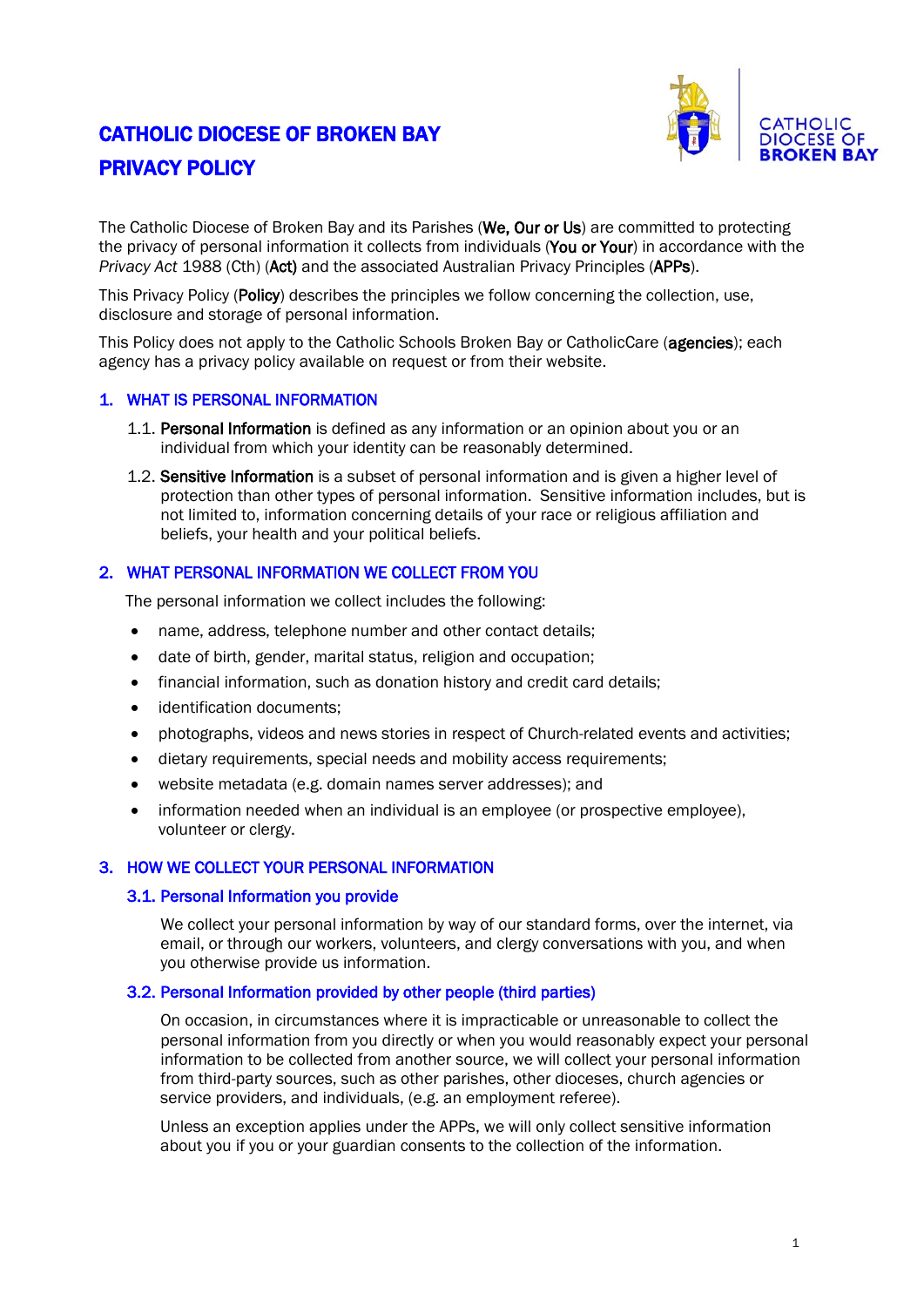# CATHOLIC DIOCESE OF BROKEN BAY PRIVACY POLICY



The Catholic Diocese of Broken Bay and its Parishes (We, Our or Us) are committed to protecting the privacy of personal information it collects from individuals (You or Your) in accordance with the *Privacy Act* 1988 (Cth) (Act) and the associated Australian Privacy Principles (APPs).

This Privacy Policy (Policy) describes the principles we follow concerning the collection, use, disclosure and storage of personal information.

This Policy does not apply to the Catholic Schools Broken Bay or CatholicCare (agencies); each agency has a privacy policy available on request or from their website.

## 1. WHAT IS PERSONAL INFORMATION

- 1.1. Personal Information is defined as any information or an opinion about you or an individual from which your identity can be reasonably determined.
- 1.2. Sensitive Information is a subset of personal information and is given a higher level of protection than other types of personal information. Sensitive information includes, but is not limited to, information concerning details of your race or religious affiliation and beliefs, your health and your political beliefs.

# 2. WHAT PERSONAL INFORMATION WE COLLECT FROM YOU

The personal information we collect includes the following:

- name, address, telephone number and other contact details;
- date of birth, gender, marital status, religion and occupation;
- financial information, such as donation history and credit card details;
- identification documents:
- photographs, videos and news stories in respect of Church-related events and activities;
- dietary requirements, special needs and mobility access requirements;
- website metadata (e.g. domain names server addresses); and
- information needed when an individual is an employee (or prospective employee), volunteer or clergy.

## 3. HOW WE COLLECT YOUR PERSONAL INFORMATION

#### 3.1. Personal Information you provide

We collect your personal information by way of our standard forms, over the internet, via email, or through our workers, volunteers, and clergy conversations with you, and when you otherwise provide us information.

## 3.2. Personal Information provided by other people (third parties)

On occasion, in circumstances where it is impracticable or unreasonable to collect the personal information from you directly or when you would reasonably expect your personal information to be collected from another source, we will collect your personal information from third-party sources, such as other parishes, other dioceses, church agencies or service providers, and individuals, (e.g. an employment referee).

Unless an exception applies under the APPs, we will only collect sensitive information about you if you or your guardian consents to the collection of the information.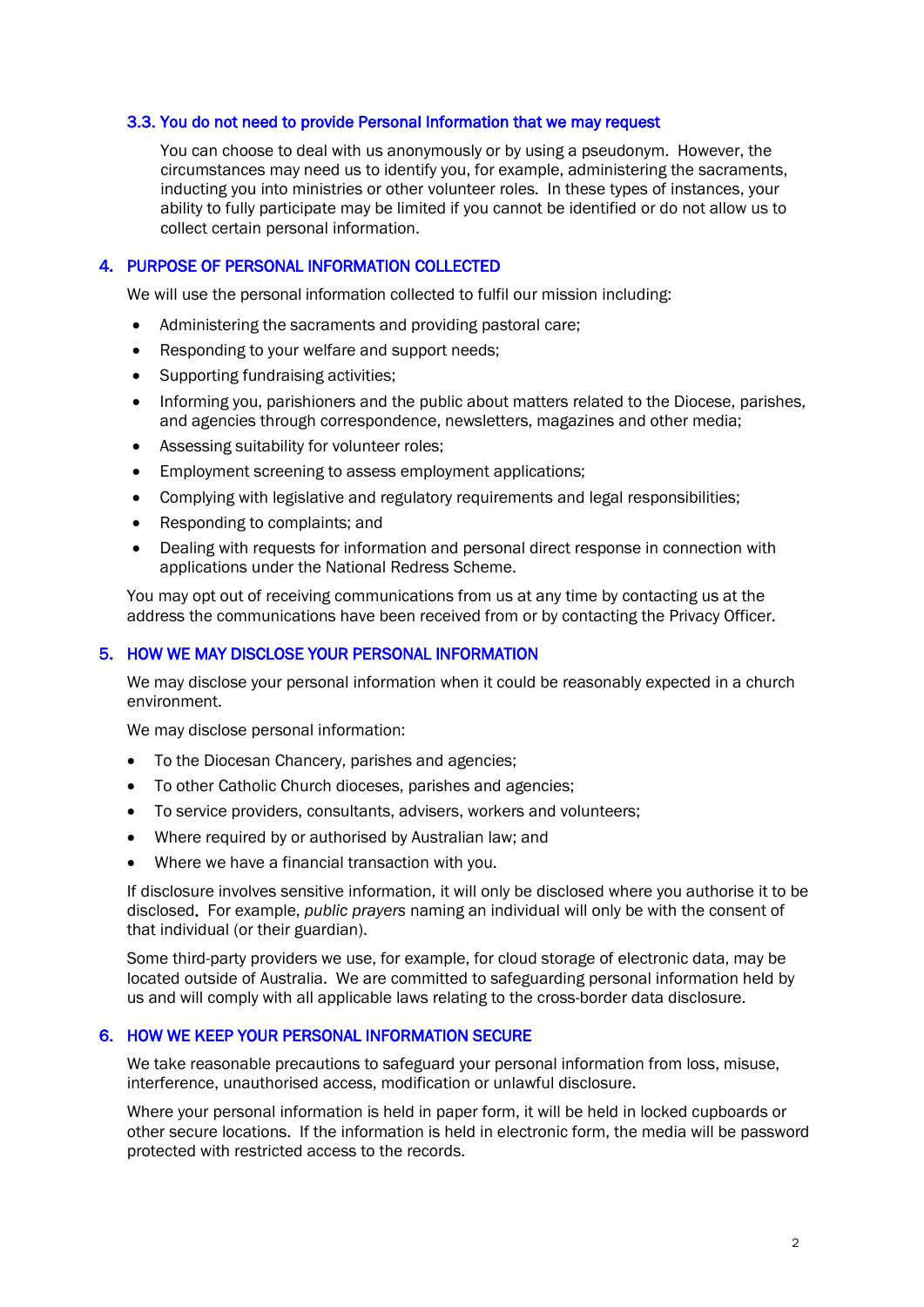#### 3.3. You do not need to provide Personal Information that we may request

You can choose to deal with us anonymously or by using a pseudonym. However, the circumstances may need us to identify you, for example, administering the sacraments, inducting you into ministries or other volunteer roles. In these types of instances, your ability to fully participate may be limited if you cannot be identified or do not allow us to collect certain personal information.

#### 4. PURPOSE OF PERSONAL INFORMATION COLLECTED

We will use the personal information collected to fulfil our mission including:

- Administering the sacraments and providing pastoral care;
- Responding to your welfare and support needs;
- Supporting fundraising activities;
- Informing you, parishioners and the public about matters related to the Diocese, parishes, and agencies through correspondence, newsletters, magazines and other media;
- Assessing suitability for volunteer roles;
- Employment screening to assess employment applications;
- Complying with legislative and regulatory requirements and legal responsibilities;
- Responding to complaints; and
- Dealing with requests for information and personal direct response in connection with applications under the National Redress Scheme.

You may opt out of receiving communications from us at any time by contacting us at the address the communications have been received from or by contacting the Privacy Officer.

#### 5. HOW WE MAY DISCLOSE YOUR PERSONAL INFORMATION

We may disclose your personal information when it could be reasonably expected in a church environment.

We may disclose personal information:

- To the Diocesan Chancery, parishes and agencies;
- To other Catholic Church dioceses, parishes and agencies;
- To service providers, consultants, advisers, workers and volunteers:
- Where required by or authorised by Australian law; and
- Where we have a financial transaction with you.

If disclosure involves sensitive information, it will only be disclosed where you authorise it to be disclosed. For example, *public prayers* naming an individual will only be with the consent of that individual (or their guardian).

Some third-party providers we use, for example, for cloud storage of electronic data, may be located outside of Australia. We are committed to safeguarding personal information held by us and will comply with all applicable laws relating to the cross-border data disclosure.

#### 6. HOW WE KEEP YOUR PERSONAL INFORMATION SECURE

We take reasonable precautions to safeguard your personal information from loss, misuse, interference, unauthorised access, modification or unlawful disclosure.

Where your personal information is held in paper form, it will be held in locked cupboards or other secure locations. If the information is held in electronic form, the media will be password protected with restricted access to the records.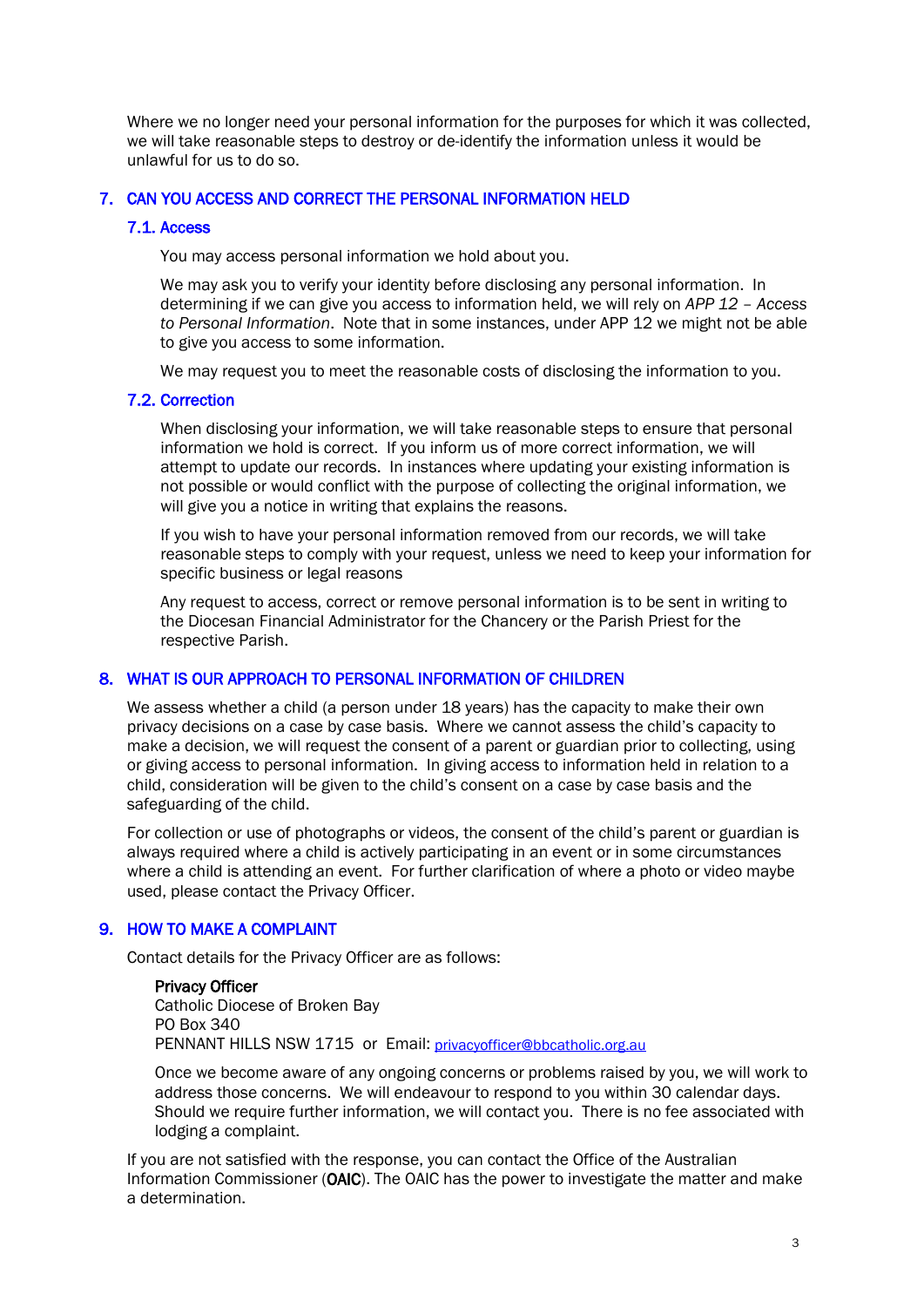Where we no longer need your personal information for the purposes for which it was collected, we will take reasonable steps to destroy or de-identify the information unless it would be unlawful for us to do so.

#### 7. CAN YOU ACCESS AND CORRECT THE PERSONAL INFORMATION HELD

#### 7.1. Access

You may access personal information we hold about you.

We may ask you to verify your identity before disclosing any personal information. In determining if we can give you access to information held, we will rely on *APP 12 – Access to Personal Information*. Note that in some instances, under APP 12 we might not be able to give you access to some information.

We may request you to meet the reasonable costs of disclosing the information to you.

#### 7.2. Correction

When disclosing your information, we will take reasonable steps to ensure that personal information we hold is correct. If you inform us of more correct information, we will attempt to update our records. In instances where updating your existing information is not possible or would conflict with the purpose of collecting the original information, we will give you a notice in writing that explains the reasons.

If you wish to have your personal information removed from our records, we will take reasonable steps to comply with your request, unless we need to keep your information for specific business or legal reasons

Any request to access, correct or remove personal information is to be sent in writing to the Diocesan Financial Administrator for the Chancery or the Parish Priest for the respective Parish.

#### 8. WHAT IS OUR APPROACH TO PERSONAL INFORMATION OF CHILDREN

We assess whether a child (a person under 18 years) has the capacity to make their own privacy decisions on a case by case basis. Where we cannot assess the child's capacity to make a decision, we will request the consent of a parent or guardian prior to collecting, using or giving access to personal information. In giving access to information held in relation to a child, consideration will be given to the child's consent on a case by case basis and the safeguarding of the child.

For collection or use of photographs or videos, the consent of the child's parent or guardian is always required where a child is actively participating in an event or in some circumstances where a child is attending an event. For further clarification of where a photo or video maybe used, please contact the Privacy Officer.

## 9. HOW TO MAKE A COMPLAINT

Contact details for the Privacy Officer are as follows:

#### Privacy Officer

Catholic Diocese of Broken Bay PO Box 340 PENNANT HILLS NSW 1715 or Email: [privacyofficer@bbcatholic.org.au](mailto:privacyofficer@bbcatholic.org.au)

Once we become aware of any ongoing concerns or problems raised by you, we will work to address those concerns. We will endeavour to respond to you within 30 calendar days. Should we require further information, we will contact you. There is no fee associated with lodging a complaint.

If you are not satisfied with the response, you can contact the Office of the Australian Information Commissioner (OAIC). The OAIC has the power to investigate the matter and make a determination.